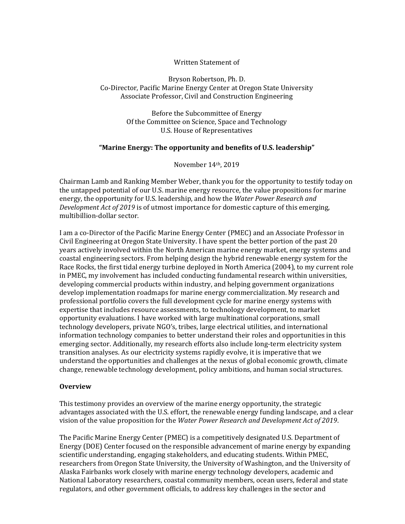### Written Statement of

#### Bryson Robertson, Ph. D. Co-Director, Pacific Marine Energy Center at Oregon State University Associate Professor, Civil and Construction Engineering

Before the Subcommittee of Energy Of the Committee on Science, Space and Technology U.S. House of Representatives

### **"Marine Energy: The opportunity and benefits of U.S. leadership"**

November 14th, 2019

Chairman Lamb and Ranking Member Weber, thank you for the opportunity to testify today on the untapped potential of our U.S. marine energy resource, the value propositions for marine energy, the opportunity for U.S. leadership, and how the *Water Power Research and Development Act of 2019* is of utmost importance for domestic capture of this emerging, multibillion-dollar sector.

I am a co-Director of the Pacific Marine Energy Center (PMEC) and an Associate Professor in Civil Engineering at Oregon State University. I have spent the better portion of the past 20 years actively involved within the North American marine energy market, energy systems and coastal engineering sectors. From helping design the hybrid renewable energy system for the Race Rocks, the first tidal energy turbine deployed in North America (2004), to my current role in PMEC, my involvement has included conducting fundamental research within universities, developing commercial products within industry, and helping government organizations develop implementation roadmaps for marine energy commercialization. My research and professional portfolio covers the full development cycle for marine energy systems with expertise that includes resource assessments, to technology development, to market opportunity evaluations. I have worked with large multinational corporations, small technology developers, private NGO's, tribes, large electrical utilities, and international information technology companies to better understand their roles and opportunities in this emerging sector. Additionally, my research efforts also include long-term electricity system transition analyses. As our electricity systems rapidly evolve, it is imperative that we understand the opportunities and challenges at the nexus of global economic growth, climate change, renewable technology development, policy ambitions, and human social structures.

#### **Overview**

This testimony provides an overview of the marine energy opportunity, the strategic advantages associated with the U.S. effort, the renewable energy funding landscape, and a clear vision of the value proposition for the *Water Power Research and Development Act of 2019*.

The Pacific Marine Energy Center (PMEC) is a competitively designated U.S. Department of Energy (DOE) Center focused on the responsible advancement of marine energy by expanding scientific understanding, engaging stakeholders, and educating students. Within PMEC, researchers from Oregon State University, the University of Washington, and the University of Alaska Fairbanks work closely with marine energy technology developers, academic and National Laboratory researchers, coastal community members, ocean users, federal and state regulators, and other government officials, to address key challenges in the sector and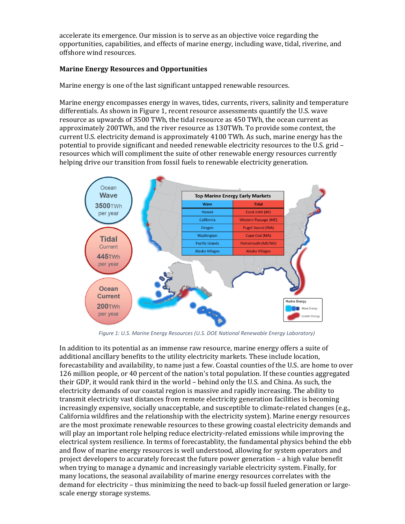accelerate its emergence. Our mission is to serve as an objective voice regarding the opportunities, capabilities, and effects of marine energy, including wave, tidal, riverine, and offshore wind resources.

## **Marine Energy Resources and Opportunities**

Marine energy is one of the last significant untapped renewable resources.

Marine energy encompasses energy in waves, tides, currents, rivers, salinity and temperature differentials. As shown in [Figure 1,](#page-1-0) recent resource assessments quantify the U.S. wave resource as upwards of 3500 TWh, the tidal resource as 450 TWh, the ocean current as approximately 200TWh, and the river resource as 130TWh. To provide some context, the current U.S. electricity demand is approximately 4100 TWh. As such, marine energy has the potential to provide significant and needed renewable electricity resources to the U.S. grid – resources which will compliment the suite of other renewable energy resources currently helping drive our transition from fossil fuels to renewable electricity generation.



*Figure 1: U.S. Marine Energy Resources (U.S. DOE National Renewable Energy Laboratory)*

<span id="page-1-0"></span>In addition to its potential as an immense raw resource, marine energy offers a suite of additional ancillary benefits to the utility electricity markets. These include location, forecastability and availability, to name just a few. Coastal counties of the U.S. are home to over 126 million people, or 40 percent of the nation's total population. If these counties aggregated their GDP, it would rank third in the world – behind only the U.S. and China. As such, the electricity demands of our coastal region is massive and rapidly increasing. The ability to transmit electricity vast distances from remote electricity generation facilities is becoming increasingly expensive, socially unacceptable, and susceptible to climate-related changes (e.g., California wildfires and the relationship with the electricity system). Marine energy resources are the most proximate renewable resources to these growing coastal electricity demands and will play an important role helping reduce electricity-related emissions while improving the electrical system resilience. In terms of forecastablity, the fundamental physics behind the ebb and flow of marine energy resources is well understood, allowing for system operators and project developers to accurately forecast the future power generation – a high value benefit when trying to manage a dynamic and increasingly variable electricity system. Finally, for many locations, the seasonal availability of marine energy resources correlates with the demand for electricity – thus minimizing the need to back-up fossil fueled generation or largescale energy storage systems.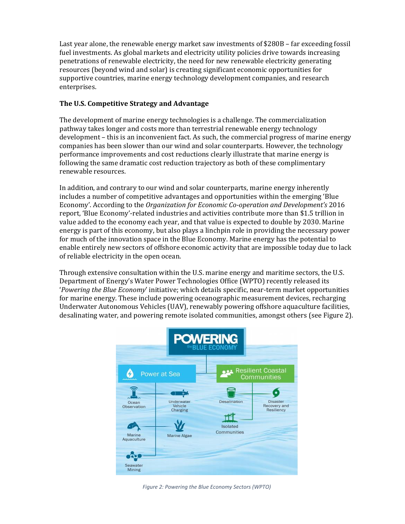Last year alone, the renewable energy market saw investments of \$280B – far exceeding fossil fuel investments. As global markets and electricity utility policies drive towards increasing penetrations of renewable electricity, the need for new renewable electricity generating resources (beyond wind and solar) is creating significant economic opportunities for supportive countries, marine energy technology development companies, and research enterprises.

# **The U.S. Competitive Strategy and Advantage**

The development of marine energy technologies is a challenge. The commercialization pathway takes longer and costs more than terrestrial renewable energy technology development – this is an inconvenient fact. As such, the commercial progress of marine energy companies has been slower than our wind and solar counterparts. However, the technology performance improvements and cost reductions clearly illustrate that marine energy is following the same dramatic cost reduction trajectory as both of these complimentary renewable resources.

In addition, and contrary to our wind and solar counterparts, marine energy inherently includes a number of competitive advantages and opportunities within the emerging 'Blue Economy'. According to the *Organization for Economic Co-operation and Development's* 2016 report, 'Blue Economy'-related industries and activities contribute more than \$1.5 trillion in value added to the economy each year, and that value is expected to double by 2030. Marine energy is part of this economy, but also plays a linchpin role in providing the necessary power for much of the innovation space in the Blue Economy. Marine energy has the potential to enable entirely new sectors of offshore economic activity that are impossible today due to lack of reliable electricity in the open ocean.

Through extensive consultation within the U.S. marine energy and maritime sectors, the U.S. Department of Energy's Water Power Technologies Office (WPTO) recently released its '*Powering the Blue Economy*' initiative; which details specific, near-term market opportunities for marine energy. These include powering oceanographic measurement devices, recharging Underwater Autonomous Vehicles (UAV), renewably powering offshore aquaculture facilities, desalinating water, and powering remote isolated communities, amongst others (see [Figure 2\)](#page-2-0).



<span id="page-2-0"></span>*Figure 2: Powering the Blue Economy Sectors (WPTO)*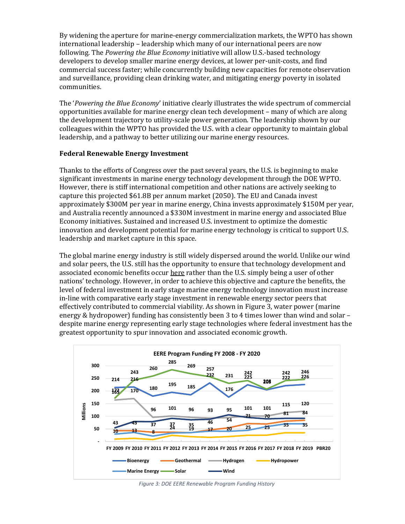By widening the aperture for marine-energy commercialization markets, the WPTO has shown international leadership – leadership which many of our international peers are now following. The *Powering the Blue Economy* initiative will allow U.S.-based technology developers to develop smaller marine energy devices, at lower per-unit-costs, and find commercial success faster; while concurrently building new capacities for remote observation and surveillance, providing clean drinking water, and mitigating energy poverty in isolated communities.

The '*Powering the Blue Economy*' initiative clearly illustrates the wide spectrum of commercial opportunities available for marine energy clean tech development – many of which are along the development trajectory to utility-scale power generation. The leadership shown by our colleagues within the WPTO has provided the U.S. with a clear opportunity to maintain global leadership, and a pathway to better utilizing our marine energy resources.

#### **Federal Renewable Energy Investment**

Thanks to the efforts of Congress over the past several years, the U.S. is beginning to make significant investments in marine energy technology development through the DOE WPTO. However, there is stiff international competition and other nations are actively seeking to capture this projected \$61.8B per annum market (2050). The EU and Canada invest approximately \$300M per year in marine energy, China invests approximately \$150M per year, and Australia recently announced a \$330M investment in marine energy and associated Blue Economy initiatives. Sustained and increased U.S. investment to optimize the domestic innovation and development potential for marine energy technology is critical to support U.S. leadership and market capture in this space.

The global marine energy industry is still widely dispersed around the world. Unlike our wind and solar peers, the U.S. still has the opportunity to ensure that technology development and associated economic benefits occur here rather than the U.S. simply being a user of other nations' technology. However, in order to achieve this objective and capture the benefits, the level of federal investment in early stage marine energy technology innovation must increase in-line with comparative early stage investment in renewable energy sector peers that effectively contributed to commercial viability. As shown i[n Figure 3,](#page-3-0) water power (marine energy & hydropower) funding has consistently been 3 to 4 times lower than wind and solar – despite marine energy representing early stage technologies where federal investment has the greatest opportunity to spur innovation and associated economic growth.



<span id="page-3-0"></span>*Figure 3: DOE EERE Renewable Program Funding History*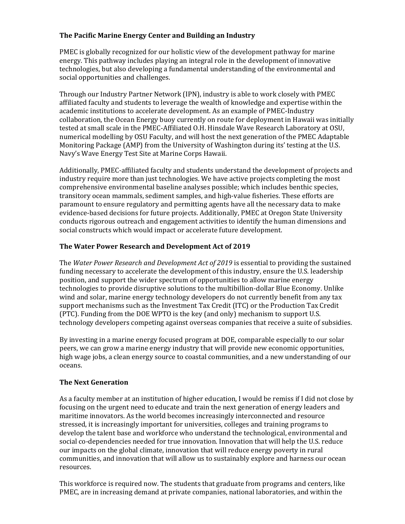# **The Pacific Marine Energy Center and Building an Industry**

PMEC is globally recognized for our holistic view of the development pathway for marine energy. This pathway includes playing an integral role in the development of innovative technologies, but also developing a fundamental understanding of the environmental and social opportunities and challenges.

Through our Industry Partner Network (IPN), industry is able to work closely with PMEC affiliated faculty and students to leverage the wealth of knowledge and expertise within the academic institutions to accelerate development. As an example of PMEC-Industry collaboration, the Ocean Energy buoy currently on route for deployment in Hawaii was initially tested at small scale in the PMEC-Affiliated O.H. Hinsdale Wave Research Laboratory at OSU, numerical modelling by OSU Faculty, and will host the next generation of the PMEC Adaptable Monitoring Package (AMP) from the University of Washington during its' testing at the U.S. Navy's Wave Energy Test Site at Marine Corps Hawaii.

Additionally, PMEC-affiliated faculty and students understand the development of projects and industry require more than just technologies. We have active projects completing the most comprehensive environmental baseline analyses possible; which includes benthic species, transitory ocean mammals, sediment samples, and high-value fisheries. These efforts are paramount to ensure regulatory and permitting agents have all the necessary data to make evidence-based decisions for future projects. Additionally, PMEC at Oregon State University conducts rigorous outreach and engagement activities to identify the human dimensions and social constructs which would impact or accelerate future development.

# **The Water Power Research and Development Act of 2019**

The *Water Power Research and Development Act of 2019* is essential to providing the sustained funding necessary to accelerate the development of this industry, ensure the U.S. leadership position, and support the wider spectrum of opportunities to allow marine energy technologies to provide disruptive solutions to the multibillion-dollar Blue Economy. Unlike wind and solar, marine energy technology developers do not currently benefit from any tax support mechanisms such as the Investment Tax Credit (ITC) or the Production Tax Credit (PTC). Funding from the DOE WPTO is the key (and only) mechanism to support U.S. technology developers competing against overseas companies that receive a suite of subsidies.

By investing in a marine energy focused program at DOE, comparable especially to our solar peers, we can grow a marine energy industry that will provide new economic opportunities, high wage jobs, a clean energy source to coastal communities, and a new understanding of our oceans.

### **The Next Generation**

As a faculty member at an institution of higher education, I would be remiss if I did not close by focusing on the urgent need to educate and train the next generation of energy leaders and maritime innovators. As the world becomes increasingly interconnected and resource stressed, it is increasingly important for universities, colleges and training programs to develop the talent base and workforce who understand the technological, environmental and social co-dependencies needed for true innovation. Innovation that will help the U.S. reduce our impacts on the global climate, innovation that will reduce energy poverty in rural communities, and innovation that will allow us to sustainably explore and harness our ocean resources.

This workforce is required now. The students that graduate from programs and centers, like PMEC, are in increasing demand at private companies, national laboratories, and within the